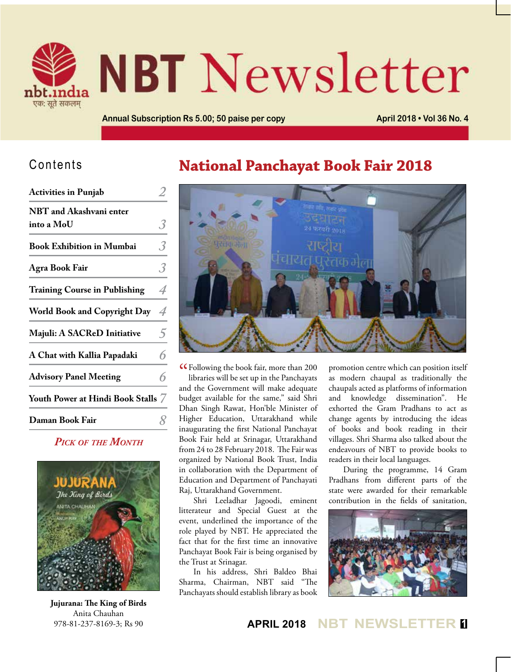

# **NBT** Newsletter

**Annual Subscription Rs 5.00; 50 paise per copy <b>April 2018 • Vol 36 No. 4 April 2018 • Vol 36 No. 4** 

#### Contents

| <b>Activities in Punjab</b>           |   |
|---------------------------------------|---|
| NBT and Akashvani enter<br>into a MoU | 3 |
| <b>Book Exhibition in Mumbai</b>      | 3 |
| Agra Book Fair                        | 3 |
| <b>Training Course in Publishing</b>  | 4 |
| <b>World Book and Copyright Day</b>   | 4 |
| Majuli: A SACReD Initiative           | 5 |
| A Chat with Kallia Papadaki           | 6 |
| <b>Advisory Panel Meeting</b>         | 6 |
| Youth Power at Hindi Book Stalls 7    |   |
| Daman Book Fair                       |   |
|                                       |   |

#### *Pick of the Month*



**Jujurana: The King of Birds** Anita Chauhan 978-81-237-8169-3; Rs 90

#### **National Panchayat Book Fair 2018**



C Following the book fair, more than 200<br>libraries will be set up in the Panchayats libraries will be set up in the Panchayats and the Government will make adequate budget available for the same," said Shri Dhan Singh Rawat, Hon'ble Minister of Higher Education, Uttarakhand while inaugurating the first National Panchayat Book Fair held at Srinagar, Uttarakhand from 24 to 28 February 2018. The Fair was organized by National Book Trust, India in collaboration with the Department of Education and Department of Panchayati Raj, Uttarakhand Government.

Shri Leeladhar Jagoodi, eminent litterateur and Special Guest at the event, underlined the importance of the role played by NBT. He appreciated the fact that for the first time an innovative Panchayat Book Fair is being organised by the Trust at Srinagar.

In his address, Shri Baldeo Bhai Sharma, Chairman, NBT said "The Panchayats should establish library as book

promotion centre which can position itself as modern chaupal as traditionally the chaupals acted as platforms of information and knowledge dissemination". He exhorted the Gram Pradhans to act as change agents by introducing the ideas of books and book reading in their villages. Shri Sharma also talked about the endeavours of NBT to provide books to readers in their local languages.

During the programme, 14 Gram Pradhans from different parts of the state were awarded for their remarkable contribution in the fields of sanitation,



**APRIL 2018 NBT NEWSLETTER <sup>1</sup>**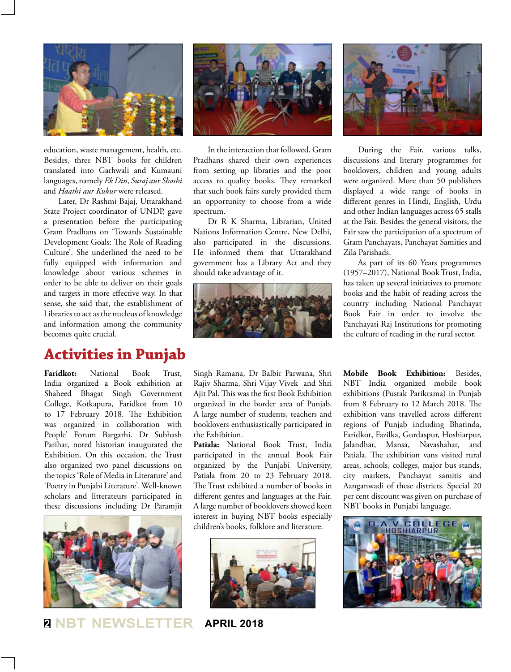

education, waste management, health, etc. Besides, three NBT books for children translated into Garhwali and Kumauni languages, namely *Ek Din*, *Suraj aur Shashi*  and *Haathi aur Kukur* were released.

Later, Dr Rashmi Bajaj, Uttarakhand State Project coordinator of UNDP, gave a presentation before the participating Gram Pradhans on 'Towards Sustainable Development Goals: The Role of Reading Culture'. She underlined the need to be fully equipped with information and knowledge about various schemes in order to be able to deliver on their goals and targets in more effective way. In that sense, she said that, the establishment of Libraries to act as the nucleus of knowledge and information among the community becomes quite crucial.

#### **Activities in Punjab**

**Faridkot:** National Book Trust, India organized a Book exhibition at Shaheed Bhagat Singh Government College, Kotkapura, Faridkot from 10 to 17 February 2018. The Exhibition was organized in collaboration with People' Forum Bargarhi. Dr Subhash Parihar, noted historian inaugurated the Exhibition. On this occasion, the Trust also organized two panel discussions on the topics 'Role of Media in Literature' and 'Poetry in Punjabi Literature'. Well-known scholars and litterateurs participated in these discussions including Dr Paramjit



**<sup>2</sup> NBT NEWSLETTER APRIL 2018**



In the interaction that followed, Gram Pradhans shared their own experiences from setting up libraries and the poor access to quality books. They remarked that such book fairs surely provided them an opportunity to choose from a wide spectrum.

Dr R K Sharma, Librarian, United Nations Information Centre, New Delhi, also participated in the discussions. He informed them that Uttarakhand government has a Library Act and they should take advantage of it.



Singh Ramana, Dr Balbir Parwana, Shri Rajiv Sharma, Shri Vijay Vivek and Shri Ajit Pal. This was the first Book Exhibition organized in the border area of Punjab. A large number of students, teachers and booklovers enthusiastically participated in the Exhibition.

**Patiala:** National Book Trust, India participated in the annual Book Fair organized by the Punjabi University, Patiala from 20 to 23 February 2018. The Trust exhibited a number of books in different genres and languages at the Fair. A large number of booklovers showed keen interest in buying NBT books especially children's books, folklore and literature.





During the Fair, various talks, discussions and literary programmes for booklovers, children and young adults were organized. More than 50 publishers displayed a wide range of books in different genres in Hindi, English, Urdu and other Indian languages across 65 stalls at the Fair. Besides the general visitors, the Fair saw the participation of a spectrum of Gram Panchayats, Panchayat Samities and Zila Parishads.

As part of its 60 Years programmes (1957–2017), National Book Trust, India, has taken up several initiatives to promote books and the habit of reading across the country including National Panchayat Book Fair in order to involve the Panchayati Raj Institutions for promoting the culture of reading in the rural sector.

**Mobile Book Exhibition:** Besides, NBT India organized mobile book exhibitions (Pustak Parikrama) in Punjab from 8 February to 12 March 2018. The exhibition vans travelled across different regions of Punjab including Bhatinda, Faridkot, Fazilka, Gurdaspur, Hoshiarpur, Jalandhar, Mansa, Navashahar, and Patiala. The exhibition vans visited rural areas, schools, colleges, major bus stands, city markets, Panchayat samitis and Aanganwadi of these districts. Special 20 per cent discount was given on purchase of NBT books in Punjabi language.

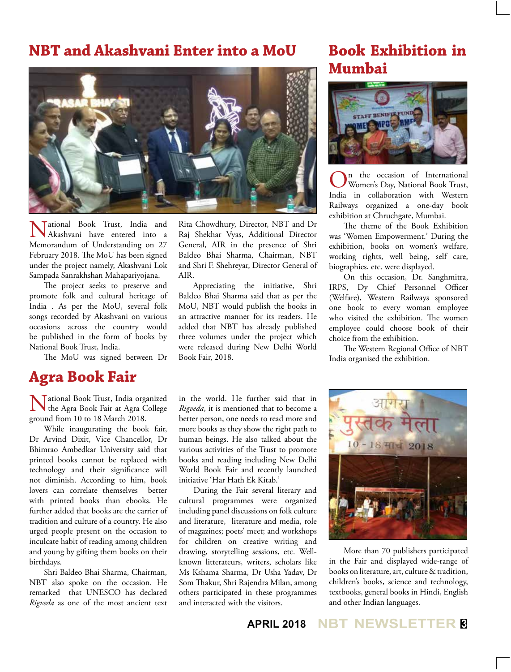#### **NBT and Akashvani Enter into a MoU**



National Book Trust, India and Akashvani have entered into a Memorandum of Understanding on 27 February 2018. The MoU has been signed under the project namely, Akashvani Lok Sampada Sanrakhshan Mahapariyojana.

The project seeks to preserve and promote folk and cultural heritage of India . As per the MoU, several folk songs recorded by Akashvani on various occasions across the country would be published in the form of books by National Book Trust, India.

The MoU was signed between Dr

#### **Agra Book Fair**

National Book Trust, India organized I the Agra Book Fair at Agra College ground from 10 to 18 March 2018.

While inaugurating the book fair, Dr Arvind Dixit, Vice Chancellor, Dr Bhimrao Ambedkar University said that printed books cannot be replaced with technology and their significance will not diminish. According to him, book lovers can correlate themselves better with printed books than ebooks. He further added that books are the carrier of tradition and culture of a country. He also urged people present on the occasion to inculcate habit of reading among children and young by gifting them books on their birthdays.

Shri Baldeo Bhai Sharma, Chairman, NBT also spoke on the occasion. He remarked that UNESCO has declared *Rigveda* as one of the most ancient text

Rita Chowdhury, Director, NBT and Dr Raj Shekhar Vyas, Additional Director General, AIR in the presence of Shri Baldeo Bhai Sharma, Chairman, NBT and Shri F. Shehreyar, Director General of AIR.

Appreciating the initiative, Shri Baldeo Bhai Sharma said that as per the MoU, NBT would publish the books in an attractive manner for its readers. He added that NBT has already published three volumes under the project which were released during New Delhi World Book Fair, 2018.

in the world. He further said that in *Rigveda*, it is mentioned that to become a better person, one needs to read more and more books as they show the right path to human beings. He also talked about the various activities of the Trust to promote books and reading including New Delhi World Book Fair and recently launched initiative 'Har Hath Ek Kitab.'

During the Fair several literary and cultural programmes were organized including panel discussions on folk culture and literature, literature and media, role of magazines; poets' meet; and workshops for children on creative writing and drawing, storytelling sessions, etc. Wellknown litterateurs, writers, scholars like Ms Kshama Sharma, Dr Usha Yadav, Dr Som Thakur, Shri Rajendra Milan, among others participated in these programmes and interacted with the visitors.

#### **Book Exhibition in Mumbai**



**On** the occasion of International<br>Women's Day, National Book Trust, India in collaboration with Western Railways organized a one-day book exhibition at Chruchgate, Mumbai.

The theme of the Book Exhibition was 'Women Empowerment.' During the exhibition, books on women's welfare, working rights, well being, self care, biographies, etc. were displayed.

On this occasion, Dr. Sanghmitra, IRPS, Dy Chief Personnel Officer (Welfare), Western Railways sponsored one book to every woman employee who visited the exhibition. The women employee could choose book of their choice from the exhibition.

The Western Regional Office of NBT India organised the exhibition.



More than 70 publishers participated in the Fair and displayed wide-range of books on literature, art, culture & tradition, children's books, science and technology, textbooks, general books in Hindi, English and other Indian languages.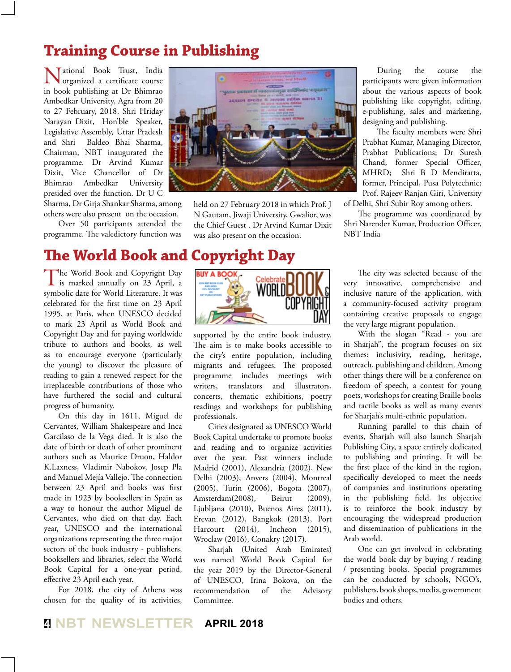### **Training Course in Publishing**

Tational Book Trust, India organized a certificate course in book publishing at Dr Bhimrao Ambedkar University, Agra from 20 to 27 February, 2018. Shri Hriday Narayan Dixit, Hon'ble Speaker, Legislative Assembly, Uttar Pradesh and Shri Baldeo Bhai Sharma, Chairman, NBT inaugurated the programme. Dr Arvind Kumar Dixit, Vice Chancellor of Dr Bhimrao Ambedkar University presided over the function. Dr U C

Sharma, Dr Girja Shankar Sharma, among others were also present on the occasion.

Over 50 participants attended the programme. The valedictory function was



held on 27 February 2018 in which Prof. J N Gautam, Jiwaji University, Gwalior, was the Chief Guest . Dr Arvind Kumar Dixit was also present on the occasion.

During the course the participants were given information about the various aspects of book publishing like copyright, editing, e-publishing, sales and marketing, designing and publishing.

The faculty members were Shri Prabhat Kumar, Managing Director, Prabhat Publications; Dr Suresh Chand, former Special Officer, MHRD; Shri B D Mendiratta, former, Principal, Pusa Polytechnic; Prof. Rajeev Ranjan Giri, University of Delhi, Shri Subir Roy among others.

The programme was coordinated by Shri Narender Kumar, Production Officer, NBT India

## **The World Book and Copyright Day**

The World Book and Copyright Day<br>
is marked annually on 23 April, a<br>
induction Width Lines symbolic date for World Literature. It was celebrated for the first time on 23 April 1995, at Paris, when UNESCO decided to mark 23 April as World Book and Copyright Day and for paying worldwide tribute to authors and books, as well as to encourage everyone (particularly the young) to discover the pleasure of reading to gain a renewed respect for the irreplaceable contributions of those who have furthered the social and cultural progress of humanity.

On this day in 1611, Miguel de Cervantes, William Shakespeare and Inca Garcilaso de la Vega died. It is also the date of birth or death of other prominent authors such as Maurice Druon, Haldor K.Laxness, Vladimir Nabokov, Josep Pla and Manuel Mejía Vallejo. The connection between 23 April and books was first made in 1923 by booksellers in Spain as a way to honour the author Miguel de Cervantes, who died on that day. Each year, UNESCO and the international organizations representing the three major sectors of the book industry - publishers, booksellers and libraries, select the World Book Capital for a one-year period, effective 23 April each year.

For 2018, the city of Athens was chosen for the quality of its activities,



supported by the entire book industry. The aim is to make books accessible to the city's entire population, including migrants and refugees. The proposed programme includes meetings with writers, translators and illustrators, concerts, thematic exhibitions, poetry readings and workshops for publishing professionals.

Cities designated as UNESCO World Book Capital undertake to promote books and reading and to organize activities over the year. Past winners include Madrid (2001), Alexandria (2002), New Delhi (2003), Anvers (2004), Montreal (2005), Turin (2006), Bogota (2007), Amsterdam(2008), Beirut (2009), Ljubljana (2010), Buenos Aires (2011), Erevan (2012), Bangkok (2013), Port Harcourt (2014), Incheon (2015), Wroclaw (2016), Conakry (2017).

Sharjah (United Arab Emirates) was named World Book Capital for the year 2019 by the Director-General of UNESCO, Irina Bokova, on the recommendation of the Advisory Committee.

The city was selected because of the very innovative, comprehensive and inclusive nature of the application, with a community-focused activity program containing creative proposals to engage the very large migrant population.

With the slogan "Read - you are in Sharjah", the program focuses on six themes: inclusivity, reading, heritage, outreach, publishing and children. Among other things there will be a conference on freedom of speech, a contest for young poets, workshops for creating Braille books and tactile books as well as many events for Sharjah's multi-ethnic population.

Running parallel to this chain of events, Sharjah will also launch Sharjah Publishing City, a space entirely dedicated to publishing and printing. It will be the first place of the kind in the region, specifically developed to meet the needs of companies and institutions operating in the publishing field. Its objective is to reinforce the book industry by encouraging the widespread production and dissemination of publications in the Arab world.

One can get involved in celebrating the world book day by buying / reading / presenting books. Special programmes can be conducted by schools, NGO's, publishers, book shops, media, government bodies and others.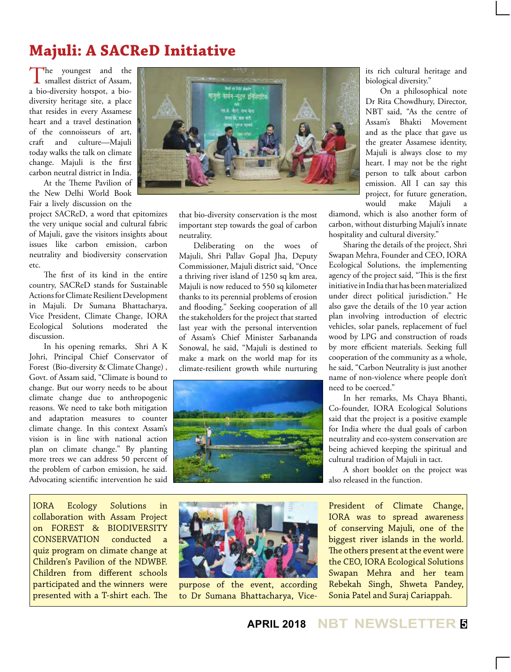# **Majuli: A SACReD Initiative**

The youngest and the smallest district of Assam, a bio-diversity hotspot, a biodiversity heritage site, a place that resides in every Assamese heart and a travel destination of the connoisseurs of art, craft and culture—Majuli today walks the talk on climate change. Majuli is the first carbon neutral district in India.

At the Theme Pavilion of the New Delhi World Book Fair a lively discussion on the

project SACReD, a word that epitomizes the very unique social and cultural fabric of Majuli, gave the visitors insights about issues like carbon emission, carbon neutrality and biodiversity conservation etc.

The first of its kind in the entire country, SACReD stands for Sustainable Actions for Climate Resilient Development in Majuli. Dr Sumana Bhattacharya, Vice President, Climate Change, IORA Ecological Solutions moderated the discussion.

In his opening remarks, Shri A K Johri, Principal Chief Conservator of Forest (Bio-diversity & Climate Change) , Govt. of Assam said, "Climate is bound to change. But our worry needs to be about climate change due to anthropogenic reasons. We need to take both mitigation and adaptation measures to counter climate change. In this context Assam's vision is in line with national action plan on climate change." By planting more trees we can address 50 percent of the problem of carbon emission, he said. Advocating scientific intervention he said

IORA Ecology Solutions in collaboration with Assam Project on FOREST & BIODIVERSITY CONSERVATION conducted a quiz program on climate change at Children's Pavilion of the NDWBF. Children from different schools participated and the winners were presented with a T-shirt each. The



that bio-diversity conservation is the most important step towards the goal of carbon neutrality.

Deliberating on the woes of Majuli, Shri Pallav Gopal Jha, Deputy Commissioner, Majuli district said, "Once a thriving river island of 1250 sq km area, Majuli is now reduced to 550 sq kilometer thanks to its perennial problems of erosion and flooding." Seeking cooperation of all the stakeholders for the project that started last year with the personal intervention of Assam's Chief Minister Sarbananda Sonowal, he said, "Majuli is destined to make a mark on the world map for its climate-resilient growth while nurturing



its rich cultural heritage and biological diversity."

On a philosophical note Dr Rita Chowdhury, Director, NBT said, "As the centre of Assam's Bhakti Movement and as the place that gave us the greater Assamese identity, Majuli is always close to my heart. I may not be the right person to talk about carbon emission. All I can say this project, for future generation, would make Majuli a

diamond, which is also another form of carbon, without disturbing Majuli's innate hospitality and cultural diversity."

Sharing the details of the project, Shri Swapan Mehra, Founder and CEO, IORA Ecological Solutions, the implementing agency of the project said, "This is the first initiative in India that has been materialized under direct political jurisdiction." He also gave the details of the 10 year action plan involving introduction of electric vehicles, solar panels, replacement of fuel wood by LPG and construction of roads by more efficient materials. Seeking full cooperation of the community as a whole, he said, "Carbon Neutrality is just another name of non-violence where people don't need to be coerced."

In her remarks, Ms Chaya Bhanti, Co-founder, IORA Ecological Solutions said that the project is a positive example for India where the dual goals of carbon neutrality and eco-system conservation are being achieved keeping the spiritual and cultural tradition of Majuli in tact.

A short booklet on the project was also released in the function.

President of Climate Change, IORA was to spread awareness of conserving Majuli, one of the biggest river islands in the world. The others present at the event were the CEO, IORA Ecological Solutions Swapan Mehra and her team Rebekah Singh, Shweta Pandey, Sonia Patel and Suraj Cariappah.



purpose of the event, according to Dr Sumana Bhattacharya, Vice-

**APRIL 2018 NBT NEWSLETTER <sup>5</sup>**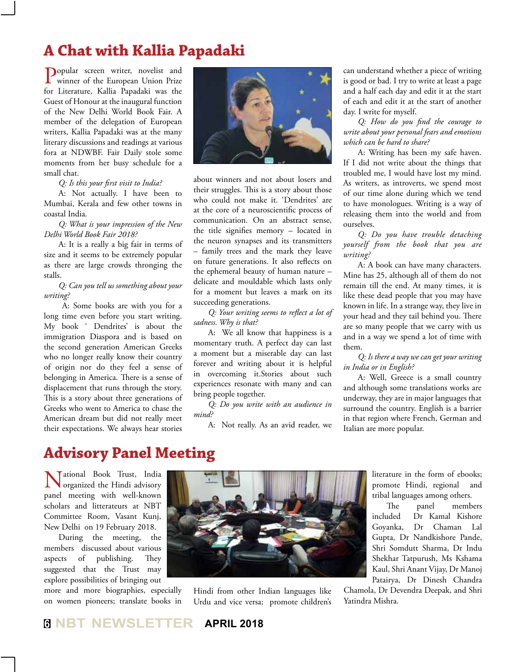### **A Chat with Kallia Papadaki**

Popular screen writer, novelist and<br>winner of the European Union Prize for Literature, Kallia Papadaki was the Guest of Honour at the inaugural function of the New Delhi World Book Fair. A member of the delegation of European writers, Kallia Papadaki was at the many literary discussions and readings at various fora at NDWBF. Fair Daily stole some moments from her busy schedule for a small chat.

*Q: Is this your first visit to India?*

A: Not actually. I have been to Mumbai, Kerala and few other towns in coastal India.

*Q: What is your impression of the New Delhi World Book Fair 2018?*

A: It is a really a big fair in terms of size and it seems to be extremely popular as there are large crowds thronging the stalls.

*Q: Can you tell us something about your writing?*

 A: Some books are with you for a long time even before you start writing. My book ' Dendrites' is about the immigration Diaspora and is based on the second generation American Greeks who no longer really know their country of origin nor do they feel a sense of belonging in America. There is a sense of displacement that runs through the story. This is a story about three generations of Greeks who went to America to chase the American dream but did not really meet their expectations. We always hear stories



about winners and not about losers and their struggles. This is a story about those who could not make it. 'Dendrites' are at the core of a neuroscientific process of communication. On an abstract sense, the title signifies memory – located in the neuron synapses and its transmitters – family trees and the mark they leave on future generations. It also reflects on the ephemeral beauty of human nature – delicate and mouldable which lasts only for a moment but leaves a mark on its succeeding generations.

*Q: Your writing seems to reflect a lot of sadness. Why is that?*

A: We all know that happiness is a momentary truth. A perfect day can last a moment but a miserable day can last forever and writing about it is helpful in overcoming it.Stories about such experiences resonate with many and can bring people together.

*Q: Do you write with an audience in mind?*

A: Not really. As an avid reader, we

can understand whether a piece of writing is good or bad. I try to write at least a page and a half each day and edit it at the start of each and edit it at the start of another day. I write for myself.

*Q: How do you find the courage to write about your personal fears and emotions which can be hard to share?*

A: Writing has been my safe haven. If I did not write about the things that troubled me, I would have lost my mind. As writers, as introverts, we spend most of our time alone during which we tend to have monologues. Writing is a way of releasing them into the world and from ourselves.

*Q: Do you have trouble detaching yourself from the book that you are writing?*

A: A book can have many characters. Mine has 25, although all of them do not remain till the end. At many times, it is like these dead people that you may have known in life. In a strange way, they live in your head and they tail behind you. There are so many people that we carry with us and in a way we spend a lot of time with them.

*Q: Is there a way we can get your writing in India or in English?*

A: Well, Greece is a small country and although some translations works are underway, they are in major languages that surround the country. English is a barrier in that region where French, German and Italian are more popular.

#### **Advisory Panel Meeting**

National Book Trust, India organized the Hindi advisory panel meeting with well-known scholars and litterateurs at NBT Committee Room, Vasant Kunj, New Delhi on 19 February 2018.

During the meeting, the members discussed about various aspects of publishing. They suggested that the Trust may explore possibilities of bringing out

more and more biographies, especially on women pioneers; translate books in



Hindi from other Indian languages like Urdu and vice versa; promote children's literature in the form of ebooks; promote Hindi, regional and tribal languages among others.

The panel members included Dr Kamal Kishore Goyanka, Dr Chaman Lal Gupta, Dr Nandkishore Pande, Shri Somdutt Sharma, Dr Indu Shekhar Tatpurush, Ms Kshama Kaul, Shri Anant Vijay, Dr Manoj Patairya, Dr Dinesh Chandra

Chamola, Dr Devendra Deepak, and Shri Yatindra Mishra.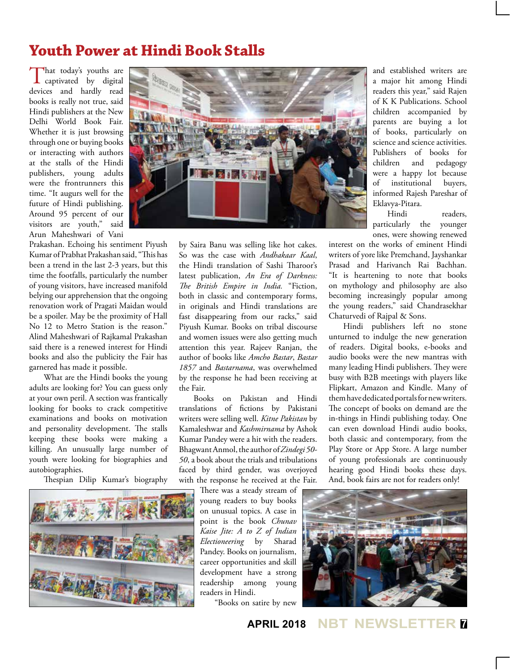#### **Youth Power at Hindi Book Stalls**

That today's youths are<br>captivated by digital devices and hardly read books is really not true, said Hindi publishers at the New Delhi World Book Fair. Whether it is just browsing through one or buying books or interacting with authors at the stalls of the Hindi publishers, young adults were the frontrunners this time. "It augurs well for the future of Hindi publishing. Around 95 percent of our visitors are youth," said Arun Maheshwari of Vani

Prakashan. Echoing his sentiment Piyush Kumar of Prabhat Prakashan said, "This has been a trend in the last 2-3 years, but this time the footfalls, particularly the number of young visitors, have increased manifold belying our apprehension that the ongoing renovation work of Pragati Maidan would be a spoiler. May be the proximity of Hall No 12 to Metro Station is the reason." Alind Maheshwari of Rajkamal Prakashan said there is a renewed interest for Hindi books and also the publicity the Fair has garnered has made it possible.

What are the Hindi books the young adults are looking for? You can guess only at your own peril. A section was frantically looking for books to crack competitive examinations and books on motivation and personality development. The stalls keeping these books were making a killing. An unusually large number of youth were looking for biographies and autobiographies.

Thespian Dilip Kumar's biography





by Saira Banu was selling like hot cakes. So was the case with *Andhakaar Kaal*, the Hindi translation of Sashi Tharoor's latest publication, *An Era of Darkness: The British Empire in India.* "Fiction, both in classic and contemporary forms, in originals and Hindi translations are fast disappearing from our racks," said Piyush Kumar. Books on tribal discourse and women issues were also getting much attention this year. Rajeev Ranjan, the author of books like *Amcho Bastar*, *Bastar 1857* and *Bastarnama*, was overwhelmed by the response he had been receiving at the Fair.

Books on Pakistan and Hindi translations of fictions by Pakistani writers were selling well. *Kitne Pakistan* by Kamaleshwar and *Kashmirnama* by Ashok Kumar Pandey were a hit with the readers. Bhagwant Anmol, the author of *Zindegi 50- 50*, a book about the trials and tribulations faced by third gender, was overjoyed with the response he received at the Fair.

> There was a steady stream of young readers to buy books on unusual topics. A case in point is the book *Chunav Kaise Jite: A to Z of Indian Electioneering* by Sharad Pandey. Books on journalism, career opportunities and skill development have a strong readership among young readers in Hindi.

"Books on satire by new

and established writers are a major hit among Hindi readers this year," said Rajen of K K Publications. School children accompanied by parents are buying a lot of books, particularly on science and science activities. Publishers of books for children and pedagogy were a happy lot because of institutional buyers, informed Rajesh Pareshar of Eklavya-Pitara.

Hindi readers, particularly the younger ones, were showing renewed

interest on the works of eminent Hindi writers of yore like Premchand, Jayshankar Prasad and Harivanch Rai Bachhan. "It is heartening to note that books on mythology and philosophy are also becoming increasingly popular among the young readers," said Chandrasekhar Chaturvedi of Rajpal & Sons.

Hindi publishers left no stone unturned to indulge the new generation of readers. Digital books, e-books and audio books were the new mantras with many leading Hindi publishers. They were busy with B2B meetings with players like Flipkart, Amazon and Kindle. Many of them have dedicated portals for new writers. The concept of books on demand are the in-things in Hindi publishing today. One can even download Hindi audio books, both classic and contemporary, from the Play Store or App Store. A large number of young professionals are continuously hearing good Hindi books these days. And, book fairs are not for readers only!



**APRIL 2018 NBT NEWSLETTER <sup>7</sup>**